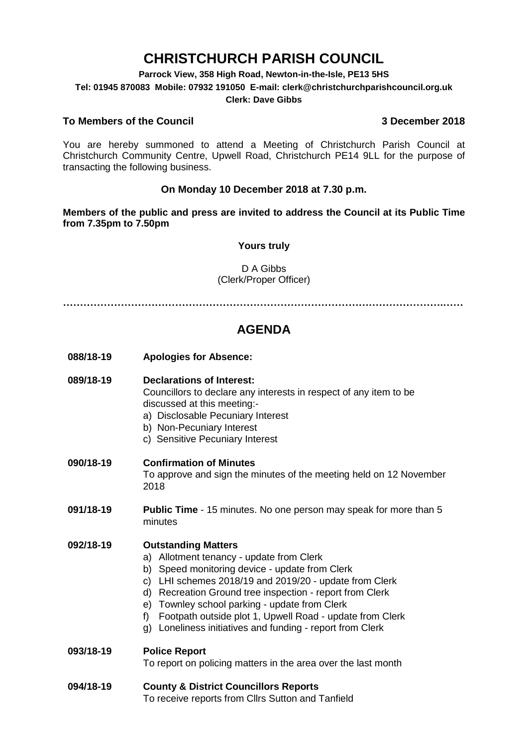# **CHRISTCHURCH PARISH COUNCIL**

**Parrock View, 358 High Road, Newton-in-the-Isle, PE13 5HS**

**Tel: 01945 870083 Mobile: 07932 191050 E-mail: clerk@christchurchparishcouncil.org.uk**

#### **Clerk: Dave Gibbs**

#### **To Members of the Council 3 December 2018**

You are hereby summoned to attend a Meeting of Christchurch Parish Council at Christchurch Community Centre, Upwell Road, Christchurch PE14 9LL for the purpose of transacting the following business.

#### **On Monday 10 December 2018 at 7.30 p.m.**

**Members of the public and press are invited to address the Council at its Public Time from 7.35pm to 7.50pm**

#### **Yours truly**

#### D A Gibbs (Clerk/Proper Officer)

**………………………………………………………………………………………………….……**

## **AGENDA**

**088/18-19 Apologies for Absence:** 

#### **089/18-19 Declarations of Interest:**

Councillors to declare any interests in respect of any item to be discussed at this meeting:-

- a) Disclosable Pecuniary Interest
- b) Non-Pecuniary Interest
- c) Sensitive Pecuniary Interest

#### **090/18-19 Confirmation of Minutes**

To approve and sign the minutes of the meeting held on 12 November 2018

**091/18-19 Public Time** - 15 minutes. No one person may speak for more than 5 minutes

#### **092/18-19 Outstanding Matters**

- a) Allotment tenancy update from Clerk
- b) Speed monitoring device update from Clerk
- c) LHI schemes 2018/19 and 2019/20 update from Clerk
- d) Recreation Ground tree inspection report from Clerk
- e) Townley school parking update from Clerk
- f) Footpath outside plot 1, Upwell Road update from Clerk
- g) Loneliness initiatives and funding report from Clerk

#### **093/18-19 Police Report**

To report on policing matters in the area over the last month

## **094/18-19 County & District Councillors Reports**

To receive reports from Cllrs Sutton and Tanfield